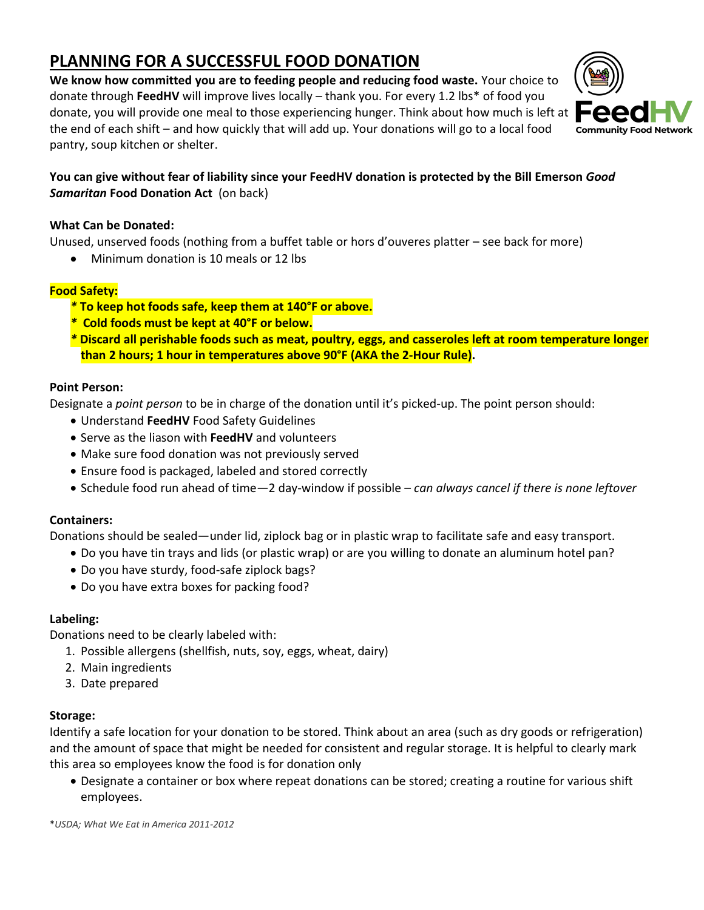# **PLANNING FOR A SUCCESSFUL FOOD DONATION**

**We know how committed you are to feeding people and reducing food waste.** Your choice to donate through **FeedHV** will improve lives locally – thank you. For every 1.2 lbs\* of food you donate, you will provide one meal to those experiencing hunger. Think about how much is left at the end of each shift – and how quickly that will add up. Your donations will go to a local food pantry, soup kitchen or shelter.



#### **You can give without fear of liability since your FeedHV donation is protected by the Bill Emerson** *Good Samaritan* **Food Donation Act** (on back)

#### **What Can be Donated:**

Unused, unserved foods (nothing from a buffet table or hors d'ouveres platter – see back for more)

• Minimum donation is 10 meals or 12 lbs

#### **Food Safety:**

- *\** **To keep hot foods safe, keep them at 140°F or above.**
- *\** **Cold foods must be kept at 40°F or below.**
- *\** **Discard all perishable foods such as meat, poultry, eggs, and casseroles left at room temperature longer than 2 hours; 1 hour in temperatures above 90°F (AKA the 2-Hour Rule).**

#### **Point Person:**

Designate a *point person* to be in charge of the donation until it's picked-up. The point person should:

- Understand **FeedHV** Food Safety Guidelines
- Serve as the liason with **FeedHV** and volunteers
- Make sure food donation was not previously served
- Ensure food is packaged, labeled and stored correctly
- Schedule food run ahead of time—2 day-window if possible *can always cancel if there is none leftover*

#### **Containers:**

Donations should be sealed—under lid, ziplock bag or in plastic wrap to facilitate safe and easy transport.

- Do you have tin trays and lids (or plastic wrap) or are you willing to donate an aluminum hotel pan?
- Do you have sturdy, food-safe ziplock bags?
- Do you have extra boxes for packing food?

#### **Labeling:**

Donations need to be clearly labeled with:

- 1. Possible allergens (shellfish, nuts, soy, eggs, wheat, dairy)
- 2. Main ingredients
- 3. Date prepared

#### **Storage:**

Identify a safe location for your donation to be stored. Think about an area (such as dry goods or refrigeration) and the amount of space that might be needed for consistent and regular storage. It is helpful to clearly mark this area so employees know the food is for donation only

 Designate a container or box where repeat donations can be stored; creating a routine for various shift employees.